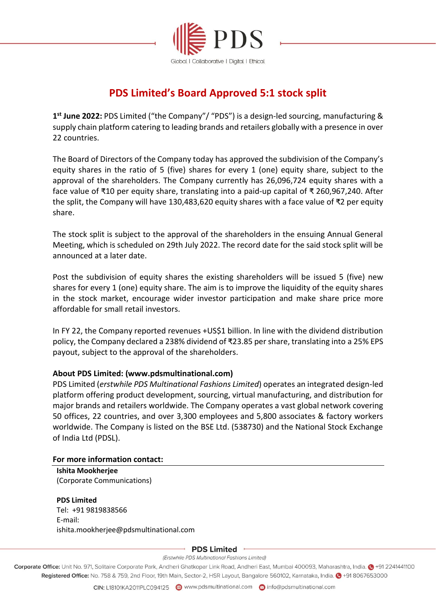

# **PDS Limited's Board Approved 5:1 stock split**

**1 st June 2022:** PDS Limited ("the Company"/ "PDS") is a design-led sourcing, manufacturing & supply chain platform catering to leading brands and retailers globally with a presence in over 22 countries.

The Board of Directors of the Company today has approved the subdivision of the Company's equity shares in the ratio of 5 (five) shares for every 1 (one) equity share, subject to the approval of the shareholders. The Company currently has 26,096,724 equity shares with a face value of ₹10 per equity share, translating into a paid-up capital of ₹ 260,967,240. After the split, the Company will have 130,483,620 equity shares with a face value of ₹2 per equity share.

The stock split is subject to the approval of the shareholders in the ensuing Annual General Meeting, which is scheduled on 29th July 2022. The record date for the said stock split will be announced at a later date.

Post the subdivision of equity shares the existing shareholders will be issued 5 (five) new shares for every 1 (one) equity share. The aim is to improve the liquidity of the equity shares in the stock market, encourage wider investor participation and make share price more affordable for small retail investors.

In FY 22, the Company reported revenues +US\$1 billion. In line with the dividend distribution policy, the Company declared a 238% dividend of ₹23.85 per share, translating into a 25% EPS payout, subject to the approval of the shareholders.

# **About PDS Limited: (www.pdsmultinational.com)**

PDS Limited (*erstwhile PDS Multinational Fashions Limited*) operates an integrated design-led platform offering product development, sourcing, virtual manufacturing, and distribution for major brands and retailers worldwide. The Company operates a vast global network covering 50 offices, 22 countries, and over 3,300 employees and 5,800 associates & factory workers worldwide. The Company is listed on the BSE Ltd. (538730) and the National Stock Exchange of India Ltd (PDSL).

## **For more information contact:**

**Ishita Mookherjee**  (Corporate Communications)

## **PDS Limited**

Tel: +91 9819838566 E-mail: ishita.mookherjee@pdsmultinational.com

#### **PDS Limited**

(Erstwhile PDS Multinational Fashions Limited)

Corporate Office: Unit No. 971, Solitaire Corporate Park, Andheri Ghatkopar Link Road, Andheri East, Mumbai 400093, Maharashtra, India. @ +91 2241441100 Registered Office: No. 758 & 759, 2nd Floor, 19th Main, Sector-2, HSR Layout, Bangalore 560102, Karnataka, India. @ +91 8067653000